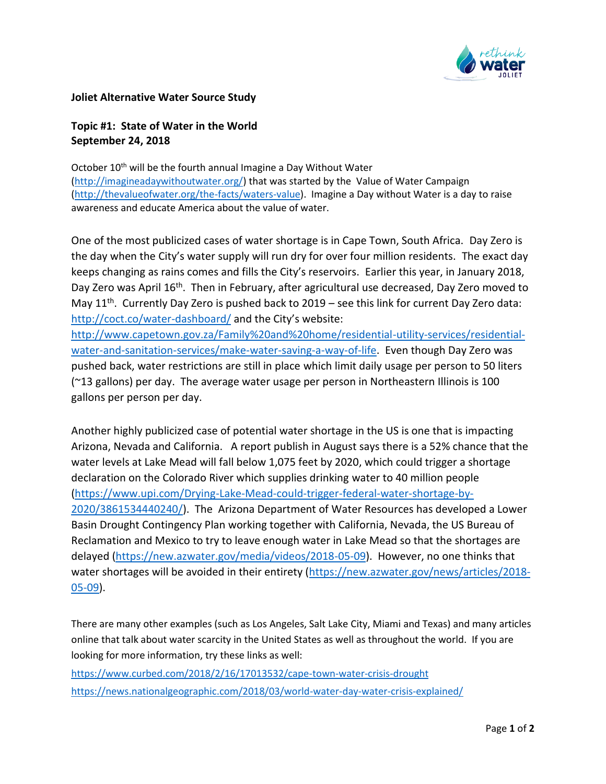

## **Joliet Alternative Water Source Study**

## **Topic #1: State of Water in the World September 24, 2018**

October 10<sup>th</sup> will be the fourth annual Imagine a Day Without Water [\(http://imagineadaywithoutwater.org/\)](https://na01.safelinks.protection.outlook.com/?url=http%3A%2F%2Fimagineadaywithoutwater.org%2F&data=01%7C01%7Ctogrady%40cmtengr.com%7C5012429cf337440cb9df08d622769c99%7Cb837cea6fc4a45b4bbd7c6d3b1216fdd%7C0&sdata=3455urxdXtPqnVNqmEa0dSg6ncYJ8je%2FdvjeTbGz76M%3D&reserved=0) that was started by the Value of Water Campaign [\(http://thevalueofwater.org/the-facts/waters-value\)](https://na01.safelinks.protection.outlook.com/?url=http%3A%2F%2Fthevalueofwater.org%2Fthe-facts%2Fwaters-value&data=01%7C01%7Ctogrady%40cmtengr.com%7C5012429cf337440cb9df08d622769c99%7Cb837cea6fc4a45b4bbd7c6d3b1216fdd%7C0&sdata=atJbWfrLMcR3tIwuSBNGryCjVI140i%2BFit%2FGUY%2Fj0z8%3D&reserved=0). Imagine a Day without Water is a day to raise awareness and educate America about the value of water.

One of the most publicized cases of water shortage is in Cape Town, South Africa. Day Zero is the day when the City's water supply will run dry for over four million residents. The exact day keeps changing as rains comes and fills the City's reservoirs. Earlier this year, in January 2018, Day Zero was April 16<sup>th</sup>. Then in February, after agricultural use decreased, Day Zero moved to May 11<sup>th</sup>. Currently Day Zero is pushed back to 2019 – see this link for current Day Zero data: [http://coct.co/water-dashboard/](https://na01.safelinks.protection.outlook.com/?url=http%3A%2F%2Fcoct.co%2Fwater-dashboard%2F&data=01%7C01%7Ctogrady%40cmtengr.com%7C5012429cf337440cb9df08d622769c99%7Cb837cea6fc4a45b4bbd7c6d3b1216fdd%7C0&sdata=2YJf%2BuiiGUJDmJRm04H%2BiInu8lQiNMp4Qj3ccbBqCgs%3D&reserved=0) and the City's website:

[http://www.capetown.gov.za/Family%20and%20home/residential-utility-services/residential](https://na01.safelinks.protection.outlook.com/?url=http%3A%2F%2Fwww.capetown.gov.za%2FFamily%2520and%2520home%2Fresidential-utility-services%2Fresidential-water-and-sanitation-services%2Fmake-water-saving-a-way-of-life&data=01%7C01%7Ctogrady%40cmtengr.com%7C5012429cf337440cb9df08d622769c99%7Cb837cea6fc4a45b4bbd7c6d3b1216fdd%7C0&sdata=LPbp3bTpaxZGsfG67NelTJ3sBJvocCPUq13TpQLeKXQ%3D&reserved=0)[water-and-sanitation-services/make-water-saving-a-way-of-life.](https://na01.safelinks.protection.outlook.com/?url=http%3A%2F%2Fwww.capetown.gov.za%2FFamily%2520and%2520home%2Fresidential-utility-services%2Fresidential-water-and-sanitation-services%2Fmake-water-saving-a-way-of-life&data=01%7C01%7Ctogrady%40cmtengr.com%7C5012429cf337440cb9df08d622769c99%7Cb837cea6fc4a45b4bbd7c6d3b1216fdd%7C0&sdata=LPbp3bTpaxZGsfG67NelTJ3sBJvocCPUq13TpQLeKXQ%3D&reserved=0) Even though Day Zero was pushed back, water restrictions are still in place which limit daily usage per person to 50 liters (~13 gallons) per day. The average water usage per person in Northeastern Illinois is 100 gallons per person per day.

Another highly publicized case of potential water shortage in the US is one that is impacting Arizona, Nevada and California. A report publish in August says there is a 52% chance that the water levels at Lake Mead will fall below 1,075 feet by 2020, which could trigger a shortage declaration on the Colorado River which supplies drinking water to 40 million people [\(https://www.upi.com/Drying-Lake-Mead-could-trigger-federal-water-shortage-by-](https://na01.safelinks.protection.outlook.com/?url=https%3A%2F%2Fwww.upi.com%2FDrying-Lake-Mead-could-trigger-federal-water-shortage-by-2020%2F3861534440240%2F&data=01%7C01%7Ctogrady%40cmtengr.com%7C5012429cf337440cb9df08d622769c99%7Cb837cea6fc4a45b4bbd7c6d3b1216fdd%7C0&sdata=5TjqMFY1pippMbDmDGp%2F9nRWryviSA6akYvg%2FjYaq7c%3D&reserved=0)[2020/3861534440240/\)](https://na01.safelinks.protection.outlook.com/?url=https%3A%2F%2Fwww.upi.com%2FDrying-Lake-Mead-could-trigger-federal-water-shortage-by-2020%2F3861534440240%2F&data=01%7C01%7Ctogrady%40cmtengr.com%7C5012429cf337440cb9df08d622769c99%7Cb837cea6fc4a45b4bbd7c6d3b1216fdd%7C0&sdata=5TjqMFY1pippMbDmDGp%2F9nRWryviSA6akYvg%2FjYaq7c%3D&reserved=0). The Arizona Department of Water Resources has developed a Lower Basin Drought Contingency Plan working together with California, Nevada, the US Bureau of Reclamation and Mexico to try to leave enough water in Lake Mead so that the shortages are delayed [\(https://new.azwater.gov/media/videos/2018-05-09\)](https://na01.safelinks.protection.outlook.com/?url=https%3A%2F%2Fnew.azwater.gov%2Fmedia%2Fvideos%2F2018-05-09&data=01%7C01%7Ctogrady%40cmtengr.com%7C5012429cf337440cb9df08d622769c99%7Cb837cea6fc4a45b4bbd7c6d3b1216fdd%7C0&sdata=lxKhDMHR5xijbbtpB839AdLqQ818WTAfg2NjjzO4R3k%3D&reserved=0). However, no one thinks that water shortages will be avoided in their entirety [\(https://new.azwater.gov/news/articles/2018-](https://na01.safelinks.protection.outlook.com/?url=https%3A%2F%2Fnew.azwater.gov%2Fnews%2Farticles%2F2018-05-09&data=01%7C01%7Ctogrady%40cmtengr.com%7C5012429cf337440cb9df08d622769c99%7Cb837cea6fc4a45b4bbd7c6d3b1216fdd%7C0&sdata=RuwNJu%2FwwF0bzv7mSn5sc4DF1TnfpwjPaoCpg1GdzvE%3D&reserved=0) [05-09\)](https://na01.safelinks.protection.outlook.com/?url=https%3A%2F%2Fnew.azwater.gov%2Fnews%2Farticles%2F2018-05-09&data=01%7C01%7Ctogrady%40cmtengr.com%7C5012429cf337440cb9df08d622769c99%7Cb837cea6fc4a45b4bbd7c6d3b1216fdd%7C0&sdata=RuwNJu%2FwwF0bzv7mSn5sc4DF1TnfpwjPaoCpg1GdzvE%3D&reserved=0).

There are many other examples (such as Los Angeles, Salt Lake City, Miami and Texas) and many articles online that talk about water scarcity in the United States as well as throughout the world. If you are looking for more information, try these links as well:

[https://www.curbed.com/2018/2/16/17013532/cape-town-water-crisis-drought](https://na01.safelinks.protection.outlook.com/?url=https%3A%2F%2Fwww.curbed.com%2F2018%2F2%2F16%2F17013532%2Fcape-town-water-crisis-drought&data=01%7C01%7Ctogrady%40cmtengr.com%7C5012429cf337440cb9df08d622769c99%7Cb837cea6fc4a45b4bbd7c6d3b1216fdd%7C0&sdata=UgswrwcooLNzvD7DgPVCAJjMVlFI51n3cUkQlPsNu1M%3D&reserved=0) [https://news.nationalgeographic.com/2018/03/world-water-day-water-crisis-explained/](https://na01.safelinks.protection.outlook.com/?url=https%3A%2F%2Fnews.nationalgeographic.com%2F2018%2F03%2Fworld-water-day-water-crisis-explained%2F&data=01%7C01%7Ctogrady%40cmtengr.com%7C5012429cf337440cb9df08d622769c99%7Cb837cea6fc4a45b4bbd7c6d3b1216fdd%7C0&sdata=eLXET0f%2BGc5QBJC3dIwjWFKS%2BA7ijqCXNDrIQ41HWGk%3D&reserved=0)